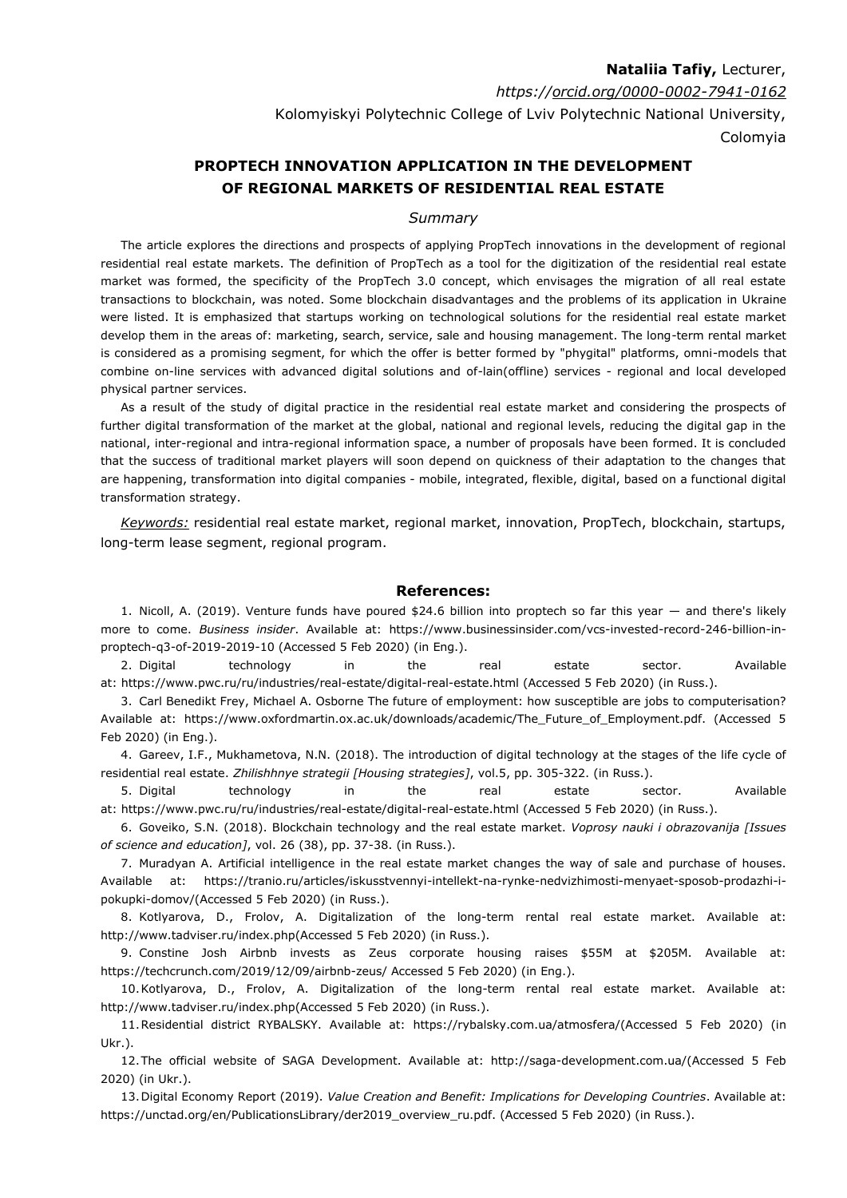## **Nataliia Tafiy,** Lecturer, *https:/[/orcid.org/0000-0002-7941-0162](http://orcid.org/0000-0001-6262-6680)* Kolomyiskyi Polytechnic College of Lviv Polytechnic National University, Colomyia

## **PROPTECH INNOVATION APPLICATION IN THE DEVELOPMENT OF REGIONAL MARKETS OF RESIDENTIAL REAL ESTATE**

## *Summary*

The article explores the directions and prospects of applying PropTech innovations in the development of regional residential real estate markets. The definition of PropTech as a tool for the digitization of the residential real estate market was formed, the specificity of the PropTech 3.0 concept, which envisages the migration of all real estate transactions to blockchain, was noted. Some blockchain disadvantages and the problems of its application in Ukraine were listed. It is emphasized that startups working on technological solutions for the residential real estate market develop them in the areas of: marketing, search, service, sale and housing management. The long-term rental market is considered as a promising segment, for which the offer is better formed by "phygital" platforms, omni-models that combine on-line services with advanced digital solutions and of-lain(offline) services - regional and local developed physical partner services.

As a result of the study of digital practice in the residential real estate market and considering the prospects of further digital transformation of the market at the global, national and regional levels, reducing the digital gap in the national, inter-regional and intra-regional information space, a number of proposals have been formed. It is concluded that the success of traditional market players will soon depend on quickness of their adaptation to the changes that are happening, transformation into digital companies - mobile, integrated, flexible, digital, based on a functional digital transformation strategy.

*Keywords:* residential real estate market, regional market, innovation, PropTech, blockchain, startups, long-term lease segment, regional program.

## **References:**

1. Nicoll, A. (2019). Venture funds have poured \$24.6 billion into proptech so far this year — and there's likely more to come. *Business insider*. Аvailable at: https://www.businessinsider.com/vcs-invested-record-246-billion-inproptech-q3-of-2019-2019-10 (Accessed 5 Feb 2020) (in Eng.).

2. Digital technology in the real estate sector. Аvailable at: https://www.pwc.ru/ru/industries/real-estate/digital-real-estate.html (Accessed 5 Feb 2020) (in Russ.).

3. Carl Benedikt Frey, Michael A. Osborne The future of employment: how susceptible are jobs to computerisation? Available at: https://www.oxfordmartin.ox.ac.uk/downloads/academic/The Future of Employment.pdf. (Accessed 5 Feb 2020) (in Eng.).

4. Gareev, I.F., Mukhametova, N.N. (2018). The introduction of digital technology at the stages of the life cycle of residential real estate. *Zhilishhnye strategii [Housing strategies]*, vol.5, pp. 305-322. (in Russ.).

5. Digital technology in the real estate sector. Аvailable at: https://www.pwc.ru/ru/industries/real-estate/digital-real-estate.html (Accessed 5 Feb 2020) (in Russ.).

6. Goveiko, S.N. (2018). Blockchain technology and the real estate market. *Voprosy nauki i obrazovanija [Issues of science and education]*, vol. 26 (38), pp. 37-38. (in Russ.).

7. Muradyan A. Artificial intelligence in the real estate market changes the way of sale and purchase of houses. Аvailable at: https://tranio.ru/articles/iskusstvennyi-intellekt-na-rynke-nedvizhimosti-menyaet-sposob-prodazhi-ipokupki-domov/(Accessed 5 Feb 2020) (in Russ.).

8. Kotlyarova, D., Frolov, A. Digitalization of the long-term rental real estate market. Аvailable at: http://www.tadviser.ru/index.php(Accessed 5 Feb 2020) (in Russ.).

9. Constine Josh Airbnb invests as Zeus corporate housing raises \$55M at \$205M. Аvailable at: https://techcrunch.com/2019/12/09/airbnb-zeus/ Accessed 5 Feb 2020) (in Eng.).

10.Kotlyarova, D., Frolov, A. Digitalization of the long-term rental real estate market. Аvailable at: http://www.tadviser.ru/index.php(Accessed 5 Feb 2020) (in Russ.).

11.Residential district RYBALSKY. Аvailable at: https://rybalsky.com.ua/atmosfera/(Accessed 5 Feb 2020) (in Ukr.).

12.The official website of SAGA Development. Аvailable at: http://saga-development.com.ua/(Accessed 5 Feb 2020) (in Ukr.).

13.Digital Economy Report (2019). *Value Creation and Benefit: Implications for Developing Countries*. Аvailable at: https://unctad.org/en/PublicationsLibrary/der2019\_overview\_ru.pdf. (Accessed 5 Feb 2020) (in Russ.).